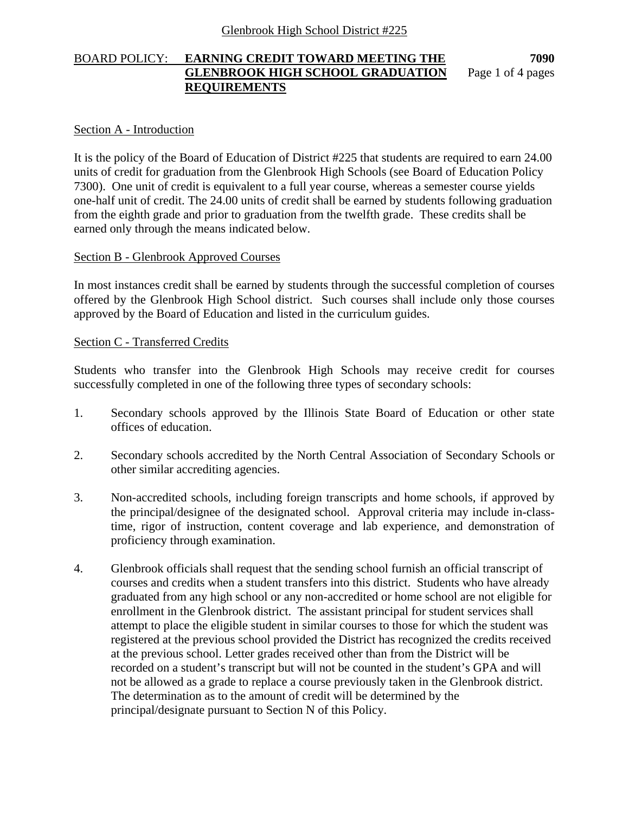# BOARD POLICY: **EARNING CREDIT TOWARD MEETING THE 7090 GLENBROOK HIGH SCHOOL GRADUATION** Page 1 of 4 pages **REQUIREMENTS**

## Section A - Introduction

It is the policy of the Board of Education of District #225 that students are required to earn 24.00 units of credit for graduation from the Glenbrook High Schools (see Board of Education Policy 7300). One unit of credit is equivalent to a full year course, whereas a semester course yields one-half unit of credit. The 24.00 units of credit shall be earned by students following graduation from the eighth grade and prior to graduation from the twelfth grade. These credits shall be earned only through the means indicated below.

### Section B - Glenbrook Approved Courses

In most instances credit shall be earned by students through the successful completion of courses offered by the Glenbrook High School district. Such courses shall include only those courses approved by the Board of Education and listed in the curriculum guides.

#### Section C - Transferred Credits

Students who transfer into the Glenbrook High Schools may receive credit for courses successfully completed in one of the following three types of secondary schools:

- 1. Secondary schools approved by the Illinois State Board of Education or other state offices of education.
- 2. Secondary schools accredited by the North Central Association of Secondary Schools or other similar accrediting agencies.
- 3. Non-accredited schools, including foreign transcripts and home schools, if approved by the principal/designee of the designated school. Approval criteria may include in-classtime, rigor of instruction, content coverage and lab experience, and demonstration of proficiency through examination.
- 4. Glenbrook officials shall request that the sending school furnish an official transcript of courses and credits when a student transfers into this district. Students who have already graduated from any high school or any non-accredited or home school are not eligible for enrollment in the Glenbrook district. The assistant principal for student services shall attempt to place the eligible student in similar courses to those for which the student was registered at the previous school provided the District has recognized the credits received at the previous school. Letter grades received other than from the District will be recorded on a student's transcript but will not be counted in the student's GPA and will not be allowed as a grade to replace a course previously taken in the Glenbrook district. The determination as to the amount of credit will be determined by the principal/designate pursuant to Section N of this Policy.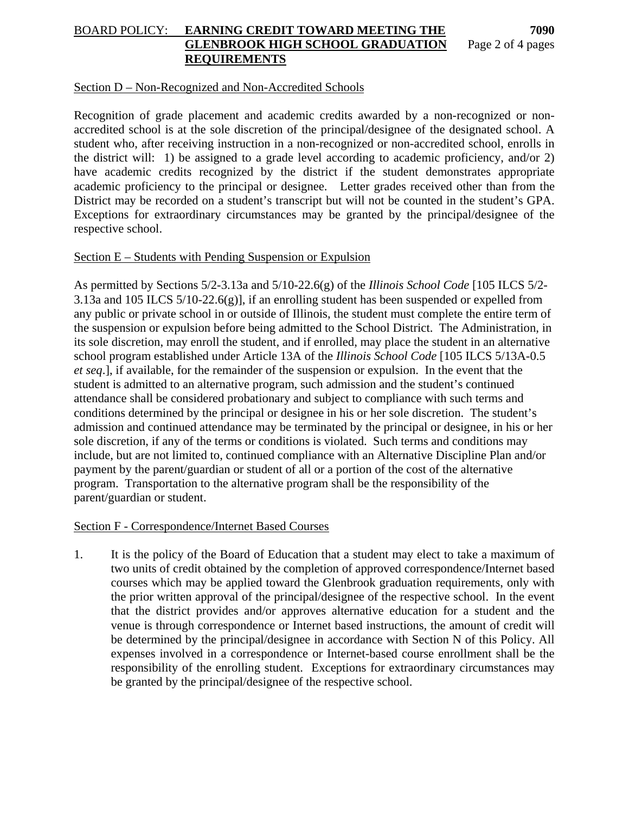# BOARD POLICY: **EARNING CREDIT TOWARD MEETING THE 7090 GLENBROOK HIGH SCHOOL GRADUATION** Page 2 of 4 pages **REQUIREMENTS**

#### Section D – Non-Recognized and Non-Accredited Schools

Recognition of grade placement and academic credits awarded by a non-recognized or nonaccredited school is at the sole discretion of the principal/designee of the designated school. A student who, after receiving instruction in a non-recognized or non-accredited school, enrolls in the district will: 1) be assigned to a grade level according to academic proficiency, and/or 2) have academic credits recognized by the district if the student demonstrates appropriate academic proficiency to the principal or designee. Letter grades received other than from the District may be recorded on a student's transcript but will not be counted in the student's GPA. Exceptions for extraordinary circumstances may be granted by the principal/designee of the respective school.

#### Section E – Students with Pending Suspension or Expulsion

As permitted by Sections 5/2-3.13a and 5/10-22.6(g) of the *Illinois School Code* [105 ILCS 5/2- 3.13a and 105 ILCS 5/10-22.6(g)], if an enrolling student has been suspended or expelled from any public or private school in or outside of Illinois, the student must complete the entire term of the suspension or expulsion before being admitted to the School District. The Administration, in its sole discretion, may enroll the student, and if enrolled, may place the student in an alternative school program established under Article 13A of the *Illinois School Code* [105 ILCS 5/13A-0.5 *et seq*.], if available, for the remainder of the suspension or expulsion. In the event that the student is admitted to an alternative program, such admission and the student's continued attendance shall be considered probationary and subject to compliance with such terms and conditions determined by the principal or designee in his or her sole discretion. The student's admission and continued attendance may be terminated by the principal or designee, in his or her sole discretion, if any of the terms or conditions is violated. Such terms and conditions may include, but are not limited to, continued compliance with an Alternative Discipline Plan and/or payment by the parent/guardian or student of all or a portion of the cost of the alternative program. Transportation to the alternative program shall be the responsibility of the parent/guardian or student.

#### Section F - Correspondence/Internet Based Courses

1. It is the policy of the Board of Education that a student may elect to take a maximum of two units of credit obtained by the completion of approved correspondence/Internet based courses which may be applied toward the Glenbrook graduation requirements, only with the prior written approval of the principal/designee of the respective school. In the event that the district provides and/or approves alternative education for a student and the venue is through correspondence or Internet based instructions, the amount of credit will be determined by the principal/designee in accordance with Section N of this Policy. All expenses involved in a correspondence or Internet-based course enrollment shall be the responsibility of the enrolling student. Exceptions for extraordinary circumstances may be granted by the principal/designee of the respective school.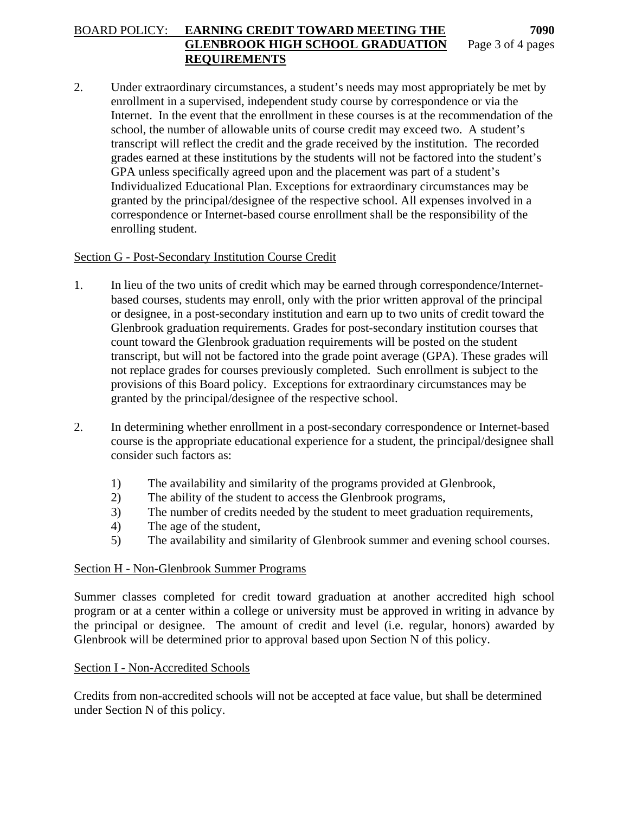# BOARD POLICY: **EARNING CREDIT TOWARD MEETING THE 7090 GLENBROOK HIGH SCHOOL GRADUATION** Page 3 of 4 pages **REQUIREMENTS**

2. Under extraordinary circumstances, a student's needs may most appropriately be met by enrollment in a supervised, independent study course by correspondence or via the Internet. In the event that the enrollment in these courses is at the recommendation of the school, the number of allowable units of course credit may exceed two. A student's transcript will reflect the credit and the grade received by the institution. The recorded grades earned at these institutions by the students will not be factored into the student's GPA unless specifically agreed upon and the placement was part of a student's Individualized Educational Plan. Exceptions for extraordinary circumstances may be granted by the principal/designee of the respective school. All expenses involved in a correspondence or Internet-based course enrollment shall be the responsibility of the enrolling student.

## Section G - Post-Secondary Institution Course Credit

- 1. In lieu of the two units of credit which may be earned through correspondence/Internetbased courses, students may enroll, only with the prior written approval of the principal or designee, in a post-secondary institution and earn up to two units of credit toward the Glenbrook graduation requirements. Grades for post-secondary institution courses that count toward the Glenbrook graduation requirements will be posted on the student transcript, but will not be factored into the grade point average (GPA). These grades will not replace grades for courses previously completed. Such enrollment is subject to the provisions of this Board policy.Exceptions for extraordinary circumstances may be granted by the principal/designee of the respective school.
- 2. In determining whether enrollment in a post-secondary correspondence or Internet-based course is the appropriate educational experience for a student, the principal/designee shall consider such factors as:
	- 1) The availability and similarity of the programs provided at Glenbrook,
	- 2) The ability of the student to access the Glenbrook programs,
	- 3) The number of credits needed by the student to meet graduation requirements,
	- 4) The age of the student,
	- 5) The availability and similarity of Glenbrook summer and evening school courses.

## Section H - Non-Glenbrook Summer Programs

Summer classes completed for credit toward graduation at another accredited high school program or at a center within a college or university must be approved in writing in advance by the principal or designee. The amount of credit and level (i.e. regular, honors) awarded by Glenbrook will be determined prior to approval based upon Section N of this policy.

## Section I - Non-Accredited Schools

Credits from non-accredited schools will not be accepted at face value, but shall be determined under Section N of this policy.